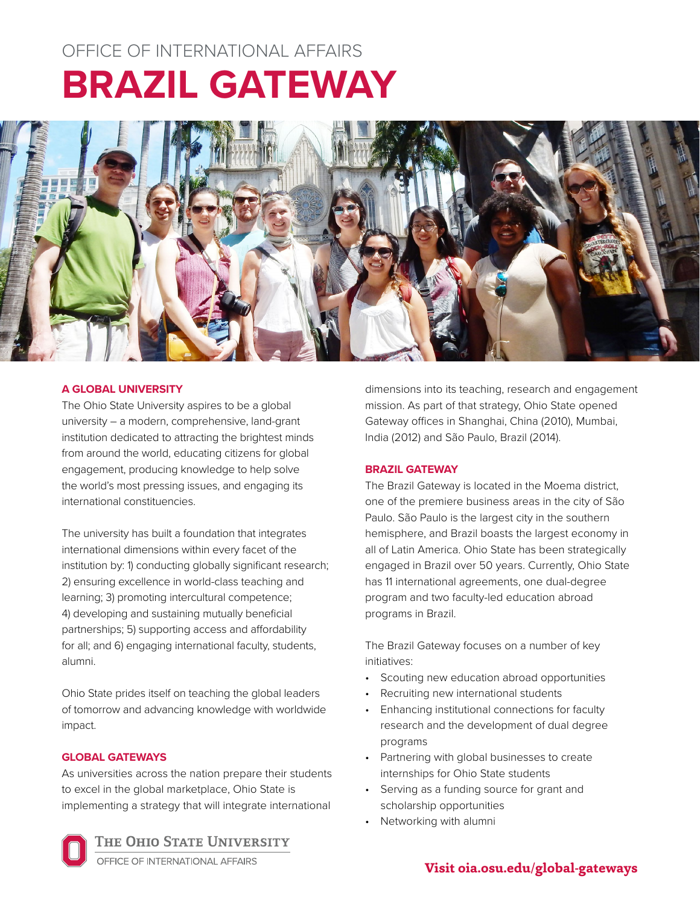# OFFICE OF INTERNATIONAL AFFAIRS **BRAZIL GATEWAY**



# **A GLOBAL UNIVERSITY**

The Ohio State University aspires to be a global university – a modern, comprehensive, land-grant institution dedicated to attracting the brightest minds from around the world, educating citizens for global engagement, producing knowledge to help solve the world's most pressing issues, and engaging its international constituencies.

The university has built a foundation that integrates international dimensions within every facet of the institution by: 1) conducting globally significant research; 2) ensuring excellence in world-class teaching and learning; 3) promoting intercultural competence; 4) developing and sustaining mutually beneficial partnerships; 5) supporting access and affordability for all; and 6) engaging international faculty, students, alumni.

Ohio State prides itself on teaching the global leaders of tomorrow and advancing knowledge with worldwide impact.

# **GLOBAL GATEWAYS**

As universities across the nation prepare their students to excel in the global marketplace, Ohio State is implementing a strategy that will integrate international

THE OHIO STATE UNIVERSITY

OFFICE OF INTERNATIONAL AFFAIRS

dimensions into its teaching, research and engagement mission. As part of that strategy, Ohio State opened Gateway offices in Shanghai, China (2010), Mumbai, India (2012) and São Paulo, Brazil (2014).

#### **BRAZIL GATEWAY**

The Brazil Gateway is located in the Moema district, one of the premiere business areas in the city of São Paulo. São Paulo is the largest city in the southern hemisphere, and Brazil boasts the largest economy in all of Latin America. Ohio State has been strategically engaged in Brazil over 50 years. Currently, Ohio State has 11 international agreements, one dual-degree program and two faculty-led education abroad programs in Brazil.

The Brazil Gateway focuses on a number of key initiatives:

- Scouting new education abroad opportunities
- Recruiting new international students
- Enhancing institutional connections for faculty research and the development of dual degree programs
- Partnering with global businesses to create internships for Ohio State students
- Serving as a funding source for grant and scholarship opportunities
- Networking with alumni

# **Visit [oia.osu.edu/global-gateways](http://oia.osu.edu/global-gateways)**